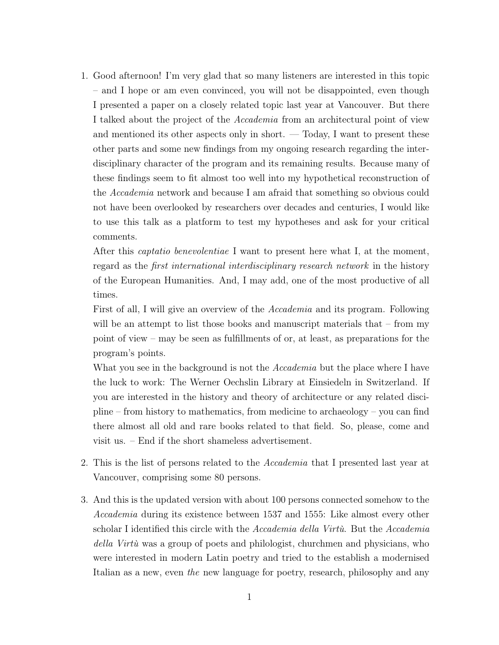1. Good afternoon! I'm very glad that so many listeners are interested in this topic – and I hope or am even convinced, you will not be disappointed, even though I presented a paper on a closely related topic last year at Vancouver. But there I talked about the project of the *Accademia* from an architectural point of view and mentioned its other aspects only in short.  $-$  Today, I want to present these other parts and some new findings from my ongoing research regarding the interdisciplinary character of the program and its remaining results. Because many of these findings seem to fit almost too well into my hypothetical reconstruction of the *Accademia* network and because I am afraid that something so obvious could not have been overlooked by researchers over decades and centuries, I would like to use this talk as a platform to test my hypotheses and ask for your critical comments.

After this *captatio benevolentiae* I want to present here what I, at the moment, regard as the *first international interdisciplinary research network* in the history of the European Humanities. And, I may add, one of the most productive of all times.

First of all, I will give an overview of the *Accademia* and its program. Following will be an attempt to list those books and manuscript materials that – from my point of view – may be seen as fulfillments of or, at least, as preparations for the program's points.

What you see in the background is not the *Accademia* but the place where I have the luck to work: The Werner Oechslin Library at Einsiedeln in Switzerland. If you are interested in the history and theory of architecture or any related discipline – from history to mathematics, from medicine to archaeology – you can find there almost all old and rare books related to that field. So, please, come and visit us. – End if the short shameless advertisement.

- 2. This is the list of persons related to the *Accademia* that I presented last year at Vancouver, comprising some 80 persons.
- 3. And this is the updated version with about 100 persons connected somehow to the *Accademia* during its existence between 1537 and 1555: Like almost every other scholar I identified this circle with the *Accademia della Virtù*. But the *Accademia della Virtù* was a group of poets and philologist, churchmen and physicians, who were interested in modern Latin poetry and tried to the establish a modernised Italian as a new, even *the* new language for poetry, research, philosophy and any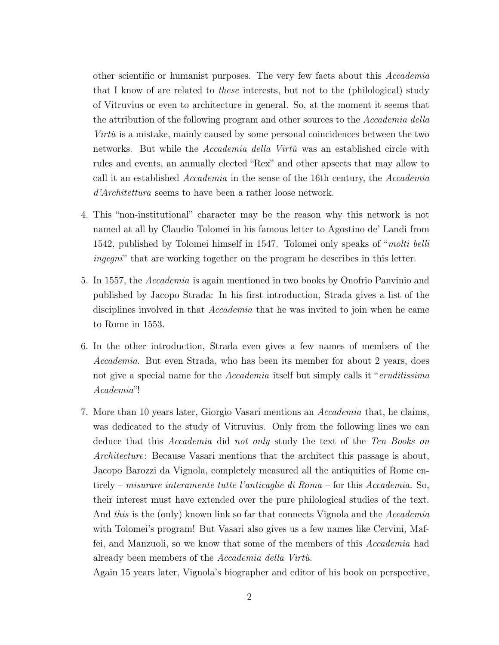other scientific or humanist purposes. The very few facts about this *Accademia* that I know of are related to *these* interests, but not to the (philological) study of Vitruvius or even to architecture in general. So, at the moment it seems that the attribution of the following program and other sources to the *Accademia della Virtù* is a mistake, mainly caused by some personal coincidences between the two networks. But while the *Accademia della Virtù* was an established circle with rules and events, an annually elected "Rex" and other apsects that may allow to call it an established *Accademia* in the sense of the 16th century, the *Accademia d'Architettura* seems to have been a rather loose network.

- 4. This "non-institutional" character may be the reason why this network is not named at all by Claudio Tolomei in his famous letter to Agostino de' Landi from 1542, published by Tolomei himself in 1547. Tolomei only speaks of "*molti belli ingegni*" that are working together on the program he describes in this letter.
- 5. In 1557, the *Accademia* is again mentioned in two books by Onofrio Panvinio and published by Jacopo Strada: In his first introduction, Strada gives a list of the disciplines involved in that *Accademia* that he was invited to join when he came to Rome in 1553.
- 6. In the other introduction, Strada even gives a few names of members of the *Accademia*. But even Strada, who has been its member for about 2 years, does not give a special name for the *Accademia* itself but simply calls it "*eruditissima Academia*"!
- 7. More than 10 years later, Giorgio Vasari mentions an *Accademia* that, he claims, was dedicated to the study of Vitruvius. Only from the following lines we can deduce that this *Accademia* did *not only* study the text of the *Ten Books on Architecture*: Because Vasari mentions that the architect this passage is about, Jacopo Barozzi da Vignola, completely measured all the antiquities of Rome entirely – *misurare interamente tutte l'anticaglie di Roma* – for this *Accademia.* So, their interest must have extended over the pure philological studies of the text. And *this* is the (only) known link so far that connects Vignola and the *Accademia* with Tolomei's program! But Vasari also gives us a few names like Cervini, Maffei, and Manzuoli, so we know that some of the members of this *Accademia* had already been members of the *Accademia della Virtù.*

Again 15 years later, Vignola's biographer and editor of his book on perspective,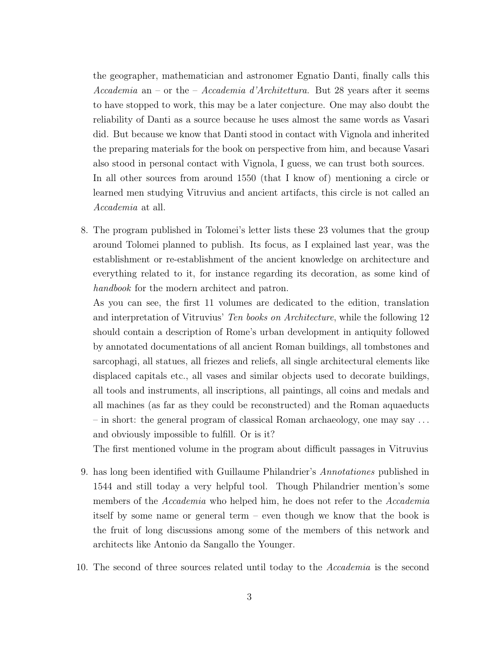the geographer, mathematician and astronomer Egnatio Danti, finally calls this *Accademia* an – or the – *Accademia d'Architettura.* But 28 years after it seems to have stopped to work, this may be a later conjecture. One may also doubt the reliability of Danti as a source because he uses almost the same words as Vasari did. But because we know that Danti stood in contact with Vignola and inherited the preparing materials for the book on perspective from him, and because Vasari also stood in personal contact with Vignola, I guess, we can trust both sources. In all other sources from around 1550 (that I know of) mentioning a circle or learned men studying Vitruvius and ancient artifacts, this circle is not called an *Accademia* at all.

8. The program published in Tolomei's letter lists these 23 volumes that the group around Tolomei planned to publish. Its focus, as I explained last year, was the establishment or re-establishment of the ancient knowledge on architecture and everything related to it, for instance regarding its decoration, as some kind of *handbook* for the modern architect and patron.

As you can see, the first 11 volumes are dedicated to the edition, translation and interpretation of Vitruvius' *Ten books on Architecture*, while the following 12 should contain a description of Rome's urban development in antiquity followed by annotated documentations of all ancient Roman buildings, all tombstones and sarcophagi, all statues, all friezes and reliefs, all single architectural elements like displaced capitals etc., all vases and similar objects used to decorate buildings, all tools and instruments, all inscriptions, all paintings, all coins and medals and all machines (as far as they could be reconstructed) and the Roman aquaeducts – in short: the general program of classical Roman archaeology, one may say . . . and obviously impossible to fulfill. Or is it?

The first mentioned volume in the program about difficult passages in Vitruvius

- 9. has long been identified with Guillaume Philandrier's *Annotationes* published in 1544 and still today a very helpful tool. Though Philandrier mention's some members of the *Accademia* who helped him, he does not refer to the *Accademia* itself by some name or general term – even though we know that the book is the fruit of long discussions among some of the members of this network and architects like Antonio da Sangallo the Younger.
- 10. The second of three sources related until today to the *Accademia* is the second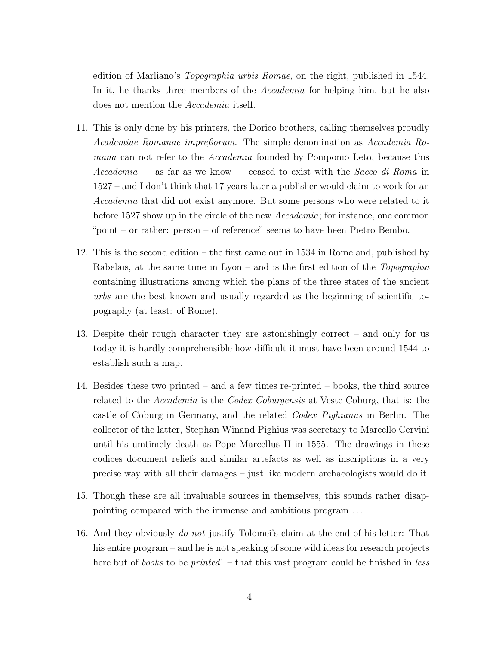edition of Marliano's *Topographia urbis Romae*, on the right, published in 1544. In it, he thanks three members of the *Accademia* for helping him, but he also does not mention the *Accademia* itself.

- 11. This is only done by his printers, the Dorico brothers, calling themselves proudly *Academiae Romanae impreßorum*. The simple denomination as *Accademia Romana* can not refer to the *Accademia* founded by Pomponio Leto, because this *Accademia* — as far as we know — ceased to exist with the *Sacco di Roma* in 1527 – and I don't think that 17 years later a publisher would claim to work for an *Accademia* that did not exist anymore. But some persons who were related to it before 1527 show up in the circle of the new *Accademia*; for instance, one common "point – or rather: person – of reference" seems to have been Pietro Bembo.
- 12. This is the second edition the first came out in 1534 in Rome and, published by Rabelais, at the same time in Lyon – and is the first edition of the *Topographia* containing illustrations among which the plans of the three states of the ancient *urbs* are the best known and usually regarded as the beginning of scientific topography (at least: of Rome).
- 13. Despite their rough character they are astonishingly correct and only for us today it is hardly comprehensible how difficult it must have been around 1544 to establish such a map.
- 14. Besides these two printed and a few times re-printed books, the third source related to the *Accademia* is the *Codex Coburgensis* at Veste Coburg, that is: the castle of Coburg in Germany, and the related *Codex Pighianus* in Berlin. The collector of the latter, Stephan Winand Pighius was secretary to Marcello Cervini until his umtimely death as Pope Marcellus II in 1555. The drawings in these codices document reliefs and similar artefacts as well as inscriptions in a very precise way with all their damages – just like modern archaeologists would do it.
- 15. Though these are all invaluable sources in themselves, this sounds rather disappointing compared with the immense and ambitious program . . .
- 16. And they obviously *do not* justify Tolomei's claim at the end of his letter: That his entire program – and he is not speaking of some wild ideas for research projects here but of *books* to be *printed*! – that this vast program could be finished in *less*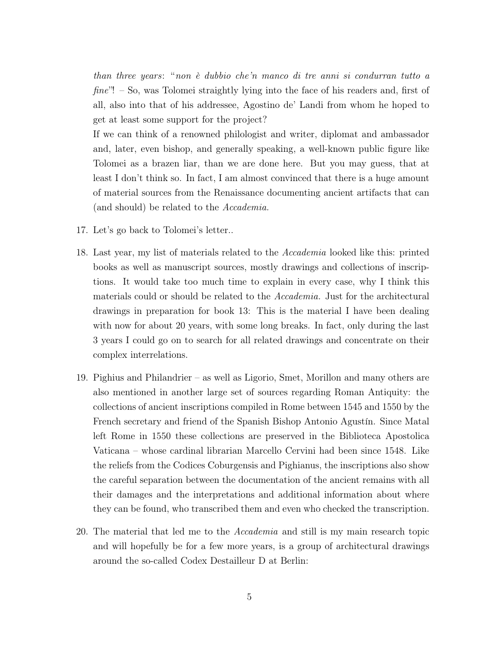*than three years*: "*non è dubbio che'n manco di tre anni si condurran tutto a fine*"! – So, was Tolomei straightly lying into the face of his readers and, first of all, also into that of his addressee, Agostino de' Landi from whom he hoped to get at least some support for the project?

If we can think of a renowned philologist and writer, diplomat and ambassador and, later, even bishop, and generally speaking, a well-known public figure like Tolomei as a brazen liar, than we are done here. But you may guess, that at least I don't think so. In fact, I am almost convinced that there is a huge amount of material sources from the Renaissance documenting ancient artifacts that can (and should) be related to the *Accademia.*

- 17. Let's go back to Tolomei's letter..
- 18. Last year, my list of materials related to the *Accademia* looked like this: printed books as well as manuscript sources, mostly drawings and collections of inscriptions. It would take too much time to explain in every case, why I think this materials could or should be related to the *Accademia.* Just for the architectural drawings in preparation for book 13: This is the material I have been dealing with now for about 20 years, with some long breaks. In fact, only during the last 3 years I could go on to search for all related drawings and concentrate on their complex interrelations.
- 19. Pighius and Philandrier as well as Ligorio, Smet, Morillon and many others are also mentioned in another large set of sources regarding Roman Antiquity: the collections of ancient inscriptions compiled in Rome between 1545 and 1550 by the French secretary and friend of the Spanish Bishop Antonio Agustín. Since Matal left Rome in 1550 these collections are preserved in the Biblioteca Apostolica Vaticana – whose cardinal librarian Marcello Cervini had been since 1548. Like the reliefs from the Codices Coburgensis and Pighianus, the inscriptions also show the careful separation between the documentation of the ancient remains with all their damages and the interpretations and additional information about where they can be found, who transcribed them and even who checked the transcription.
- 20. The material that led me to the *Accademia* and still is my main research topic and will hopefully be for a few more years, is a group of architectural drawings around the so-called Codex Destailleur D at Berlin: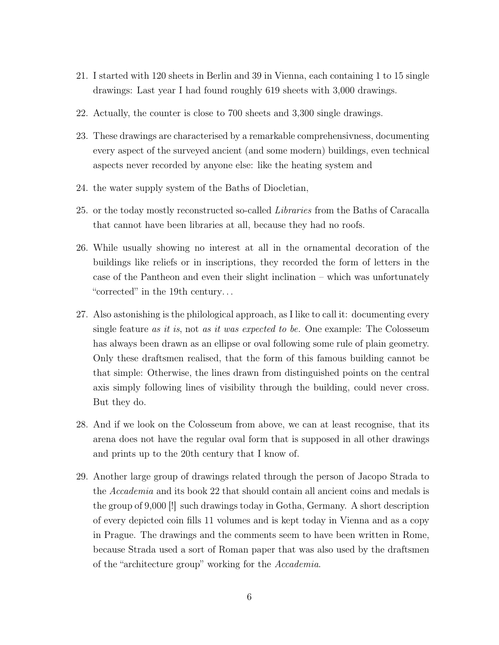- 21. I started with 120 sheets in Berlin and 39 in Vienna, each containing 1 to 15 single drawings: Last year I had found roughly 619 sheets with 3,000 drawings.
- 22. Actually, the counter is close to 700 sheets and 3,300 single drawings.
- 23. These drawings are characterised by a remarkable comprehensivness, documenting every aspect of the surveyed ancient (and some modern) buildings, even technical aspects never recorded by anyone else: like the heating system and
- 24. the water supply system of the Baths of Diocletian,
- 25. or the today mostly reconstructed so-called *Libraries* from the Baths of Caracalla that cannot have been libraries at all, because they had no roofs.
- 26. While usually showing no interest at all in the ornamental decoration of the buildings like reliefs or in inscriptions, they recorded the form of letters in the case of the Pantheon and even their slight inclination – which was unfortunately "corrected" in the 19th century. . .
- 27. Also astonishing is the philological approach, as I like to call it: documenting every single feature *as it is*, not *as it was expected to be.* One example: The Colosseum has always been drawn as an ellipse or oval following some rule of plain geometry. Only these draftsmen realised, that the form of this famous building cannot be that simple: Otherwise, the lines drawn from distinguished points on the central axis simply following lines of visibility through the building, could never cross. But they do.
- 28. And if we look on the Colosseum from above, we can at least recognise, that its arena does not have the regular oval form that is supposed in all other drawings and prints up to the 20th century that I know of.
- 29. Another large group of drawings related through the person of Jacopo Strada to the *Accademia* and its book 22 that should contain all ancient coins and medals is the group of 9,000 [!] such drawings today in Gotha, Germany. A short description of every depicted coin fills 11 volumes and is kept today in Vienna and as a copy in Prague. The drawings and the comments seem to have been written in Rome, because Strada used a sort of Roman paper that was also used by the draftsmen of the "architecture group" working for the *Accademia*.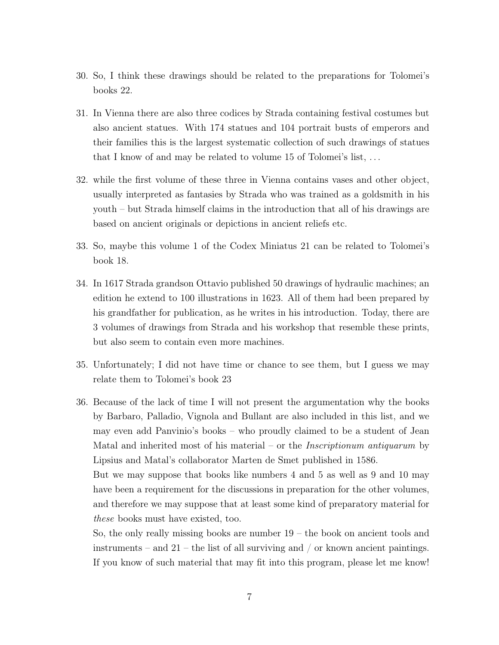- 30. So, I think these drawings should be related to the preparations for Tolomei's books 22.
- 31. In Vienna there are also three codices by Strada containing festival costumes but also ancient statues. With 174 statues and 104 portrait busts of emperors and their families this is the largest systematic collection of such drawings of statues that I know of and may be related to volume 15 of Tolomei's list, . . .
- 32. while the first volume of these three in Vienna contains vases and other object, usually interpreted as fantasies by Strada who was trained as a goldsmith in his youth – but Strada himself claims in the introduction that all of his drawings are based on ancient originals or depictions in ancient reliefs etc.
- 33. So, maybe this volume 1 of the Codex Miniatus 21 can be related to Tolomei's book 18.
- 34. In 1617 Strada grandson Ottavio published 50 drawings of hydraulic machines; an edition he extend to 100 illustrations in 1623. All of them had been prepared by his grandfather for publication, as he writes in his introduction. Today, there are 3 volumes of drawings from Strada and his workshop that resemble these prints, but also seem to contain even more machines.
- 35. Unfortunately; I did not have time or chance to see them, but I guess we may relate them to Tolomei's book 23
- 36. Because of the lack of time I will not present the argumentation why the books by Barbaro, Palladio, Vignola and Bullant are also included in this list, and we may even add Panvinio's books – who proudly claimed to be a student of Jean Matal and inherited most of his material – or the *Inscriptionum antiquarum* by Lipsius and Matal's collaborator Marten de Smet published in 1586.

But we may suppose that books like numbers 4 and 5 as well as 9 and 10 may have been a requirement for the discussions in preparation for the other volumes, and therefore we may suppose that at least some kind of preparatory material for *these* books must have existed, too.

So, the only really missing books are number  $19 -$  the book on ancient tools and instruments – and 21 – the list of all surviving and  $/$  or known ancient paintings. If you know of such material that may fit into this program, please let me know!